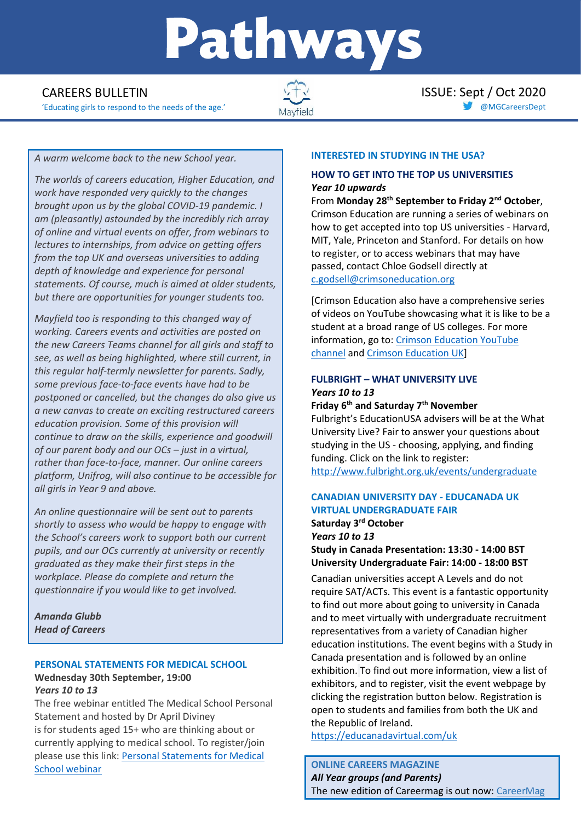# Pathways

'Educating girls to respond to the needs of the age.' and a set of the age.' and a set of the age.' and a set of the age.' and a set of the age.' The set of the set of the age.' The set of the set of the set of the set of



**CAREERS BULLETIN ISSUE: Sept / Oct 2020** 

#### *A warm welcome back to the new School year.*

*The worlds of careers education, Higher Education, and work have responded very quickly to the changes brought upon us by the global COVID-19 pandemic. I am (pleasantly) astounded by the incredibly rich array of online and virtual events on offer, from webinars to lectures to internships, from advice on getting offers from the top UK and overseas universities to adding depth of knowledge and experience for personal statements. Of course, much is aimed at older students, but there are opportunities for younger students too.*

*Mayfield too is responding to this changed way of working. Careers events and activities are posted on the new Careers Teams channel for all girls and staff to see, as well as being highlighted, where still current, in this regular half-termly newsletter for parents. Sadly, some previous face-to-face events have had to be postponed or cancelled, but the changes do also give us a new canvas to create an exciting restructured careers education provision. Some of this provision will continue to draw on the skills, experience and goodwill of our parent body and our OCs – just in a virtual, rather than face-to-face, manner. Our online careers platform, Unifrog, will also continue to be accessible for all girls in Year 9 and above.*

*An online questionnaire will be sent out to parents shortly to assess who would be happy to engage with the School's careers work to support both our current pupils, and our OCs currently at university or recently graduated as they make their first steps in the workplace. Please do complete and return the questionnaire if you would like to get involved.*

*Amanda Glubb Head of Careers*

# **PERSONAL STATEMENTS FOR MEDICAL SCHOOL**

#### **Wednesday 30th September, 19:00** *Years 10 to 13*

The free webinar entitled The Medical School Personal Statement and hosted by Dr April Diviney is for students aged 15+ who are thinking about or currently applying to medical school. To register/join please use this link: [Personal Statements for Medical](http://edu4.sprintsend.co.uk/b1/el.php?SID=2873459&STATID=278&LID=522&FID=H)  [School webinar](http://edu4.sprintsend.co.uk/b1/el.php?SID=2873459&STATID=278&LID=522&FID=H)

#### **INTERESTED IN STUDYING IN THE USA?**

#### **HOW TO GET INTO THE TOP US UNIVERSITIES**  *Year 10 upwards*

From **Monday 28th September to Friday 2nd October**, Crimson Education are running a series of webinars on how to get accepted into top US universities - Harvard, MIT, Yale, Princeton and Stanford. For details on how to register, or to access webinars that may have passed, contact Chloe Godsell directly at [c.godsell@crimsoneducation.org](mailto:c.godsell@crimsoneducation.org)

[Crimson Education also have a comprehensive series of videos on YouTube showcasing what it is like to be a student at a broad range of US colleges. For more information, go to: [Crimson Education YouTube](https://www.youtube.com/channel/UC_f7C43GUWhif5_yPsamdfA)  [channel](https://www.youtube.com/channel/UC_f7C43GUWhif5_yPsamdfA) and [Crimson Education UK\]](https://www.crimsoneducation.org/uk/)

# **FULBRIGHT – WHAT UNIVERSITY LIVE** *Years 10 to 13*

# **Friday 6th and Saturday 7th November**

Fulbright's EducationUSA advisers will be at the What University Live? Fair to answer your questions about studying in the US - choosing, applying, and finding funding. Click on the link to register: <http://www.fulbright.org.uk/events/undergraduate>

#### **CANADIAN UNIVERSITY DAY - EDUCANADA UK VIRTUAL UNDERGRADUATE FAIR Saturday 3rd October** *Years 10 to 13*

**Study in Canada Presentation: 13:30 - 14:00 BST University Undergraduate Fair: 14:00 - 18:00 BST** 

Canadian universities accept A Levels and do not require SAT/ACTs. This event is a fantastic opportunity to find out more about going to university in Canada and to meet virtually with undergraduate recruitment representatives from a variety of Canadian higher education institutions. The event begins with a Study in Canada presentation and is followed by an online exhibition. To find out more information, view a list of exhibitors, and to register, visit the event webpage by clicking the registration button below. Registration is open to students and families from both the UK and the Republic of Ireland.

<https://educanadavirtual.com/uk>

# **ONLINE CAREERS MAGAZINE**  *All Year groups (and Parents)* The new edition of Careermag is out now: [CareerMag](https://mailchi.mp/f07d67aa1cea/pwc-student-opps-1041050?e=23391eb440)